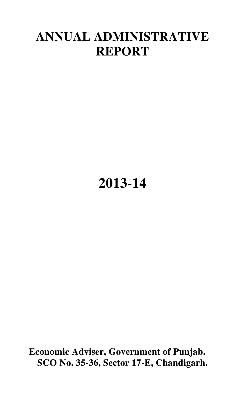## **ANNUAL ADMINISTRATIVE REPORT**

# **2013-14**

**Economic Adviser, Government of Punjab. SCO No. 35-36, Sector 17-E, Chandigarh.**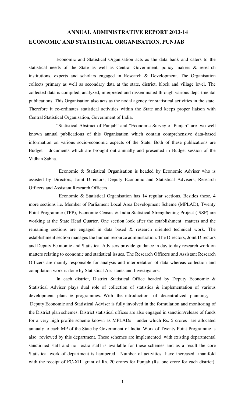### **ANNUAL ADMINISTRATIVE REPORT 2013-14 ECONOMIC AND STATISTICAL ORGANISATION, PUNJAB**

 Economic and Statistical Organisation acts as the data bank and caters to the statistical needs of the State as well as Central Government, policy makers & research institutions, experts and scholars engaged in Research & Development. The Organisation collects primary as well as secondary data at the state, district, block and village level. The collected data is compiled, analyzed, interpreted and disseminated through various departmental publications. This Organisation also acts as the nodal agency for statistical activities in the state. Therefore it co-ordinates statistical activities within the State and keeps proper liaison with Central Statistical Organisation, Government of India.

 "Statistical Abstract of Punjab" and "Economic Survey of Punjab" are two well known annual publications of this Organisation which contain comprehensive data-based information on various socio-economic aspects of the State. Both of these publications are Budget documents which are brought out annually and presented in Budget session of the Vidhan Sabha.

 Economic & Statistical Organisation is headed by Economic Adviser who is assisted by Directors, Joint Directors, Deputy Economic and Statistical Advisers, Research Officers and Assistant Research Officers.

 Economic & Statistical Organisation has 14 regular sections. Besides these, 4 more sections i.e. Member of Parliament Local Area Development Scheme (MPLAD), Twenty Point Programme (TPP), Economic Census & India Statistical Strengthening Project (ISSP) are working at the State Head Quarter. One section look after the establishment matters and the remaining sections are engaged in data based & research oriented technical work. The establishment section manages the human resource administration. The Directors, Joint Directors and Deputy Economic and Statistical Advisers provide guidance in day to day research work on matters relating to economic and statistical issues. The Research Officers and Assistant Research Officers are mainly responsible for analysis and interpretation of data whereas collection and compilation work is done by Statistical Assistants and Investigators.

 In each district, District Statistical Office headed by Deputy Economic & Statistical Adviser plays dual role of collection of statistics & implementation of various development plans & programmes. With the introduction of decentralized planning, Deputy Economic and Statistical Adviser is fully involved in the formulation and monitoring of the District plan schemes. District statistical offices are also engaged in sanction/release of funds for a very high profile scheme known as MPLADs under which Rs. 5 crores are allocated annualy to each MP of the State by Government of India. Work of Twenty Point Programme is also reviewed by this department. These schemes are implemented with existing departmental sanctioned staff and no extra staff is available for these schemes and as a result the core Statistical work of department is hampered. Number of activities have increased manifold with the receipt of FC-XIII grant of Rs. 20 crores for Punjab (Rs. one crore for each district).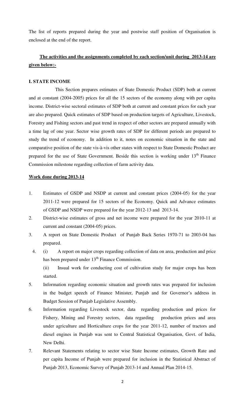The list of reports prepared during the year and postwise staff position of Organisation is enclosed at the end of the report.

### **The activities and the assignments completed by each section/unit during 2013-14 are given below:-**

#### **I. STATE INCOME**

 This Section prepares estimates of State Domestic Product (SDP) both at current and at constant (2004-2005) prices for all the 15 sectors of the economy along with per capita income. District-wise sectoral estimates of SDP both at current and constant prices for each year are also prepared. Quick estimates of SDP based on production targets of Agriculture, Livestock, Forestry and Fishing sectors and past trend in respect of other sectors are prepared annually with a time lag of one year. Sector wise growth rates of SDP for different periods are prepared to study the trend of economy. In addition to it, notes on economic situation in the state and comparative position of the state vis-à-vis other states with respect to State Domestic Product are prepared for the use of State Government. Beside this section is working under 13<sup>th</sup> Finance Commission milestone regarding collection of farm activity data.

- 1. Estimates of GSDP and NSDP at current and constant prices (2004-05) for the year 2011-12 were prepared for 15 sectors of the Economy. Quick and Advance estimates of GSDP and NSDP were prepared for the year 2012-13 and 2013-14.
- 2. District-wise estimates of gross and net income were prepared for the year 2010-11 at current and constant (2004-05) prices.
- 3. A report on State Domestic Product of Punjab Back Series 1970-71 to 2003-04 has prepared.
- 4. (i) A report on major crops regarding collection of data on area, production and price has been prepared under  $13<sup>th</sup>$  Finance Commission. (ii) Insual work for conducting cost of cultivation study for major crops has been started.
- 5. Information regarding economic situation and growth rates was prepared for inclusion in the budget speech of Finance Minister, Punjab and for Governor's address in Budget Session of Punjab Legislative Assembly.
- 6. Information regarding Livestock sector, data regarding production and prices for Fishery, Mining and Forestry sectors, data regarding production prices and area under agriculture and Horticulture crops for the year 2011-12, number of tractors and diesel engines in Punjab was sent to Central Statistical Organisation, Govt. of India, New Delhi.
- 7. Relevant Statements relating to sector wise State Income estimates, Growth Rate and per capita Income of Punjab were prepared for inclusion in the Statistical Abstract of Punjab 2013, Economic Survey of Punjab 2013-14 and Annual Plan 2014-15.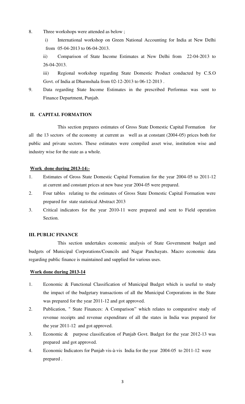8. Three workshops were attended as below ;

i) International workshop on Green National Accounting for India at New Delhi from 05-04-2013 to 06-04-2013.

ii) Comparison of State Income Estimates at New Delhi from 22-04-2013 to 26-04-2013.

iii) Regional workshop regarding State Domestic Product conducted by C.S.O Govt. of India at Dharmshala from 02-12-2013 to 06-12-2013 .

9. Data regarding State Income Estimates in the prescribed Performas was sent to Finance Department, Punjab.

#### **II. CAPITAL FORMATION**

 This section prepares estimates of Gross State Domestic Capital Formation for all the 13 sectors of the economy at current as well as at constant (2004-05) prices both for public and private sectors. These estimates were compiled asset wise, institution wise and industry wise for the state as a whole.

#### **Work done during 2013-14:-**

- 1. Estimates of Gross State Domestic Capital Formation for the year 2004-05 to 2011-12 at current and constant prices at new base year 2004-05 were prepared.
- 2. Four tables relating to the estimates of Gross State Domestic Capital Formation were prepared for state statistical Abstract 2013
- 3. Critical indicators for the year 2010-11 were prepared and sent to Field operation Section.

#### **III. PUBLIC FINANCE**

 This section undertakes economic analysis of State Government budget and budgets of Municipal Corporations/Councils and Nagar Panchayats. Macro economic data regarding public finance is maintained and supplied for various uses.

- 1. Economic & Functional Classification of Municipal Budget which is useful to study the impact of the budgetary transactions of all the Municipal Corporations in the State was prepared for the year 2011-12 and got approved.
- 2. Publication, " State Finances: A Comparison" which relates to comparative study of revenue receipts and revenue expenditure of all the states in India was prepared for the year 2011-12 and got approved.
- 3. Economic & purpose classification of Punjab Govt. Budget for the year 2012-13 was prepared and got approved.
- 4. Economic Indicators for Punjab vis-à-vis India for the year 2004-05 to 2011-12 were prepared .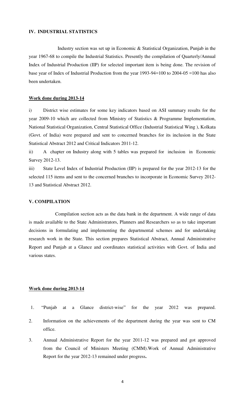#### **IV. INDUSTRIAL STATISTICS**

 Industry section was set up in Economic & Statistical Organization, Punjab in the year 1967-68 to compile the Industrial Statistics. Presently the compilation of Quarterly/Annual Index of Industrial Production (IIP) for selected important item is being done. The revision of base year of Index of Industrial Production from the year 1993-94=100 to 2004-05 =100 has also been undertaken.

#### **Work done during 2013-14**

i) District wise estimates for some key indicators based on ASI summary results for the year 2009-10 which are collected from Ministry of Statistics & Programme Implementation, National Statistical Organization, Central Statistical Office (Industrial Statistical Wing ), Kolkata (Govt. of India) were prepared and sent to concerned branches for its inclusion in the State Statistical Abstract 2012 and Critical Indicators 2011-12.

ii) A chapter on Industry along with 5 tables was prepared for inclusion in Economic Survey 2012-13.

iii) State Level Index of Industrial Production (IIP) is prepared for the year 2012-13 for the selected 115 items and sent to the concerned branches to incorporate in Economic Survey 2012- 13 and Statistical Abstract 2012.

#### **V. COMPILATION**

 Compilation section acts as the data bank in the department. A wide range of data is made available to the State Administrators, Planners and Researchers so as to take important decisions in formulating and implementing the departmental schemes and for undertaking research work in the State. This section prepares Statistical Abstract, Annual Administrative Report and Punjab at a Glance and coordinates statistical activities with Govt. of India and various states.

- 1. "Punjab at a Glance district-wise" for the year 2012 was prepared.
- 2. Information on the achievements of the department during the year was sent to CM office.
- 3. Annual Administrative Report for the year 2011-12 was prepared and got approved from the Council of Ministers Meeting (CMM).Work of Annual Administrative Report for the year 2012-13 remained under progress**.**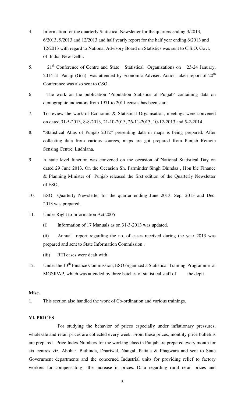- 4. Information for the quarterly Statistical Newsletter for the quarters ending 3/2013, 6/2013, 9/2013 and 12/2013 and half yearly report for the half year ending 6/2013 and 12/2013 with regard to National Advisory Board on Statistics was sent to C.S.O. Govt. of India, New Delhi.
- 5. 21<sup>th</sup> Conference of Centre and State Statistical Organizations on 23-24 January, 2014 at Panaji (Goa) was attended by Economic Adviser. Action taken report of  $20<sup>th</sup>$ Conference was also sent to CSO.
- 6 The work on the publication 'Population Statistics of Punjab' containing data on demographic indicators from 1971 to 2011 census has been start.
- 7. To review the work of Economic & Statistical Organisation, meetings were convened on dated 31-5-2013, 8-8-2013, 21-10-2013, 26-11-2013, 10-12-2013 and 5-2-2014.
- 8. "Statistical Atlas of Punjab 2012" presenting data in maps is being prepared. After collecting data from various sources, maps are got prepared from Punjab Remote Sensing Centre, Ludhiana.
- 9. A state level function was convened on the occasion of National Statistical Day on dated 29 June 2013. On the Occasion Sh. Parminder Singh Dhindsa , Hon'ble Finance & Planning Minister of Punjab released the first edition of the Quarterly Newsletter of ESO.
- 10. ESO Quarterly Newsletter for the quarter ending June 2013, Sep. 2013 and Dec. 2013 was prepared.
- 11. Under Right to Information Act,2005
	- (i) Information of 17 Manuals as on 31-3-2013 was updated.
	- (ii) Annual report regarding the no. of cases received during the year 2013 was prepared and sent to State Information Commission .
	- (iii) RTI cases were dealt with.
- 12. Under the 13<sup>th</sup> Finance Commission, ESO organized a Statistical Training Programme at MGSIPAP, which was attended by three batches of statistical staff of the deptt.

#### **Misc.**

1. This section also handled the work of Co-ordination and various trainings.

#### **VI. PRICES**

 For studying the behavior of prices especially under inflationary pressures, wholesale and retail prices are collected every week. From these prices, monthly price bulletins are prepared. Price Index Numbers for the working class in Punjab are prepared every month for six centres viz. Abohar, Bathinda, Dhariwal, Nangal, Patiala & Phagwara and sent to State Government departments and the concerned Industrial units for providing relief to factory workers for compensating the increase in prices. Data regarding rural retail prices and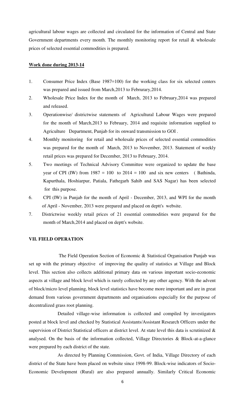agricultural labour wages are collected and circulated for the information of Central and State Government departments every month. The monthly monitoring report for retail & wholesale prices of selected essential commodities is prepared.

#### **Work done during 2013-14**

- 1. Consumer Price Index (Base 1987=100) for the working class for six selected centers was prepared and issued from March,2013 to Februrary,2014.
- 2. Wholesale Price Index for the month of March, 2013 to February,2014 was prepared and released.
- 3. Operationwise/ districtwise statements of Agricultural Labour Wages were prepared for the month of March,2013 to February, 2014 and requisite information supplied to Agriculture Department, Punjab for its onward transmission to GOI .
- 4. Monthly monitoring for retail and wholesale prices of selected essential commodities was prepared for the month of March, 2013 to November, 2013. Statement of weekly retail prices was prepared for December, 2013 to February, 2014.
- 5. Two meetings of Technical Advisory Committee were organized to update the base year of CPI (IW) from  $1987 = 100$  to  $2014 = 100$  and six new centers (Bathinda, Kapurthala, Hoshiarpur, Patiala, Fathegarh Sahib and SAS Nagar) has been selected for this purpose.
- 6. CPI (IW) in Punjab for the month of April December, 2013, and WPI for the month of April - November, 2013 were prepared and placed on deptt's website.
- 7. Districtwise weekly retail prices of 21 essential commodities were prepared for the month of March,2014 and placed on deptt's website.

#### **VII. FIELD OPERATION**

 The Field Operation Section of Economic & Statistical Organisation Punjab was set up with the primary objective of improving the quality of statistics at Village and Block level. This section also collects additional primary data on various important socio-economic aspects at village and block level which is rarely collected by any other agency. With the advent of block/micro level planning, block level statistics have become more important and are in great demand from various government departments and organisations especially for the purpose of decentralized grass root planning.

 Detailed village-wise information is collected and compiled by investigators posted at block level and checked by Statistical Assistants/Assistant Research Officers under the supervision of District Statistical officers at district level. At state level this data is scrutinized & analysed. On the basis of the information collected, Village Directories & Block-at-a-glance were prepared by each district of the state.

 As directed by Planning Commission, Govt. of India, Village Directory of each district of the State have been placed on website since 1998-99. Block-wise indicators of Socio-Economic Development (Rural) are also prepared annually. Similarly Critical Economic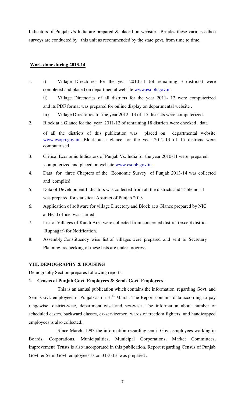Indicators of Punjab v/s India are prepared & placed on website. Besides these various adhoc surveys are conducted by this unit as recommended by the state govt. from time to time.

#### **Work done during 2013-14**

1. i) Village Directories for the year 2010-11 (of remaining 3 districts) were completed and placed on departmental website [www.esopb.gov.in.](http://www.esopb.gov.in/)

ii) Village Directories of all districts for the year 2011- 12 were computerized and its PDF format was prepared for online display on departmental website .

- iii) Village Directories for the year 2012- 13 of 15 districts were computerized.
- 2. Block at a Glance for the year 2011-12 of remaining 18 districts were checked , data

 of all the districts of this publication was placed on departmental website [www.esopb.gov.in.](http://www.esopb.gov.in/) Block at a glance for the year 2012-13 of 15 districts were computerised.

- 3. Critical Economic Indicators of Punjab Vs. India for the year 2010-11 were prepared, computerized and placed on website [www.esopb.gov.in.](http://www.esopb.gov.in/)
- 4. Data for three Chapters of the Economic Survey of Punjab 2013-14 was collected and compiled.
- 5. Data of Development Indicators was collected from all the districts and Table no.11 was prepared for statistical Abstract of Punjab 2013.
- 6. Application of software for village Directory and Block at a Glance prepared by NIC at Head office was started.
- 7. List of Villages of Kandi Area were collected from concerned district (except district Rupnagar) for Notification.
- 8. Assembly Constituency wise list of villages were prepared and sent to Secretary Planning, rechecking of these lists are under progress.

### **VIII. DEMOGRAPHY & HOUSING**

Demography Section prepares following reports.

### **1. Census of Punjab Govt. Employees & Semi- Govt. Employees**.

 This is an annual publication which contains the information regarding Govt. and Semi-Govt. employees in Punjab as on  $31<sup>st</sup>$  March. The Report contains data according to pay rangewise, district-wise, department–wise and sex-wise. The information about number of scheduled castes, backward classes, ex-servicemen, wards of freedom fighters and handicapped employees is also collected.

 Since March, 1993 the information regarding semi- Govt. employees working in Boards, Corporations, Municipalities, Municipal Corporations, Market Committees, Improvement Trusts is also incorporated in this publication. Report regarding Census of Punjab Govt. & Semi Govt. employees as on 31-3-13 was prepared.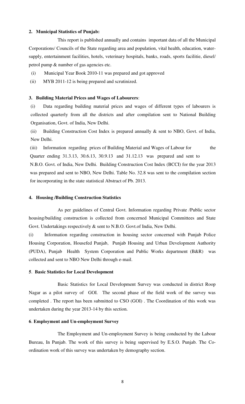#### **2. Municipal Statistics of Punjab:**

 This report is published annually and contains important data of all the Municipal Corporations/ Councils of the State regarding area and population, vital health, education, watersupply, entertainment facilities, hotels, veterinary hospitals, banks, roads, sports facilitie, diesel/ petrol pump & number of gas agencies etc.

- (i) Municipal Year Book 2010-11 was prepared and got approved
- (ii) MYB 2011-12 is being prepared and scrutinized.

#### **3. Building Material Prices and Wages of Labourers**:

(i) Data regarding building material prices and wages of different types of labourers is collected quarterly from all the districts and after compilation sent to National Building Organisation, Govt. of India, New Delhi.

(ii) Building Construction Cost Index is prepared annually & sent to NBO, Govt. of India, New Delhi.

(iii) Information regarding prices of Building Material and Wages of Labour for the Quarter ending 31.3.13, 30.6.13, 30.9.13 and 31.12.13 was prepared and sent to N.B.O. Govt. of India, New Delhi. Building Construction Cost Index (BCCI) for the year 2013 was prepared and sent to NBO, New Delhi. Table No. 32.8 was sent to the compilation section for incorporating in the state statistical Abstract of Pb. 2013.

#### **4. Housing /Building Construction Statistics**

 As per guidelines of Central Govt. Information regarding Private /Public sector housing/building construction is collected from concerned Municipal Committees and State Govt. Undertakings respectively & sent to N.B.O. Govt.of India, New Delhi.

(i) Information regarding construction in housing sector concerned with Punjab Police Housing Corporation, Housefed Punjab, Punjab Housing and Urban Development Authority (PUDA), Punjab Health System Corporation and Public Works department (B&R) was collected and sent to NBO New Delhi through e-mail.

#### **5**. **Basic Statistics for Local Development**

 Basic Statistics for Local Development Survey was conducted in district Roop Nagar as a pilot survey of GOI. The second phase of the field work of the survey was completed . The report has been submitted to CSO (GOI) . The Coordination of this work was undertaken during the year 2013-14 by this section.

#### **6**. **Employment and Un-employment Survey**

 The Employment and Un-employment Survey is being conducted by the Labour Bureau, In Punjab. The work of this survey is being supervised by E.S.O. Punjab. The Coordination work of this survey was undertaken by demography section.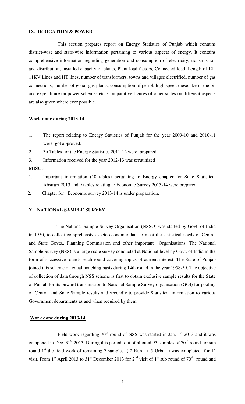#### **IX. IRRIGATION & POWER**

 This section prepares report on Energy Statistics of Punjab which contains district-wise and state-wise information pertaining to various aspects of energy. It contains comprehensive information regarding generation and consumption of electricity, transmission and distribution, Installed capacity of plants, Plant load factors, Connected load, Length of LT, 11KV Lines and HT lines, number of transformers, towns and villages electrified, number of gas connections, number of gobar gas plants, consumption of petrol, high speed diesel, kerosene oil and expenditure on power schemes etc. Comparative figures of other states on different aspects are also given where ever possible.

#### **Work done during 2013-14**

- 1. The report relating to Energy Statistics of Punjab for the year 2009-10 and 2010-11 were got approved.
- 2. 3o Tables for the Energy Statistics 2011-12 were prepared.
- 3. Information received for the year 2012-13 was scrutinized

#### **MISC:-**

- 1. Important information (10 tables) pertaining to Energy chapter for State Statistical Abstract 2013 and 9 tables relating to Economic Survey 2013-14 were prepared.
- 2. Chapter for Economic survey 2013-14 is under preparation.

#### **X. NATIONAL SAMPLE SURVEY**

 The National Sample Survey Organisation (NSSO) was started by Govt. of India in 1950, to collect comprehensive socio-economic data to meet the statistical needs of Central and State Govts., Planning Commission and other important Organisations. The National Sample Survey (NSS) is a large scale survey conducted at National level by Govt. of India in the form of successive rounds, each round covering topics of current interest. The State of Punjab joined this scheme on equal matching basis during 14th round in the year 1958-59. The objective of collection of data through NSS scheme is first to obtain exclusive sample results for the State of Punjab for its onward transmission to National Sample Survey organisation (GOI) for pooling of Central and State Sample results and secondly to provide Statistical information to various Government departments as and when required by them.

#### **Work done during 2013-14**

Field work regarding  $70<sup>th</sup>$  round of NSS was started in Jan. 1<sup>st</sup> 2013 and it was completed in Dec.  $31<sup>st</sup>$  2013. During this period, out of allotted 93 samples of  $70<sup>th</sup>$  round for sub round 1<sup>st</sup> the field work of remaining 7 samples ( 2 Rural + 5 Urban ) was completed for 1<sup>st</sup> visit. From 1<sup>st</sup> April 2013 to 31<sup>st</sup> December 2013 for 2<sup>nd</sup> visit of 1<sup>st</sup> sub round of 70<sup>th</sup> round and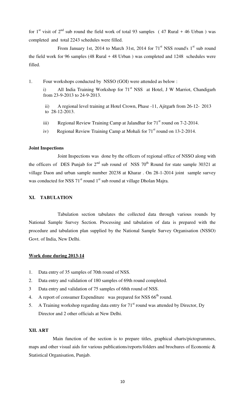for 1<sup>st</sup> visit of 2<sup>nd</sup> sub round the field work of total 93 samples (47 Rural + 46 Urban) was completed and total 2243 schedules were filled.

From January 1st, 2014 to March 31st, 2014 for  $71<sup>st</sup> NSS$  round's  $1<sup>st</sup>$  sub round the field work for 96 samples (48 Rural + 48 Urban ) was completed and 1248 schedules were filled.

1. Four workshops conducted by NSSO (GOI) were attended as below :

i) All India Training Workshop for 71<sup>st</sup> NSS at Hotel, J W Marriot, Chandigarh from 23-9-2013 to 24-9-2013.

- ii) A regional level training at Hotel Crown, Phase -11, Ajitgarh from 26-12- 2013 to 28-12-2013.
- iii) Regional Review Training Camp at Jalandhar for  $71<sup>st</sup>$  round on 7-2-2014.
- iv) Regional Review Training Camp at Mohali for  $71<sup>st</sup>$  round on 13-2-2014.

#### **Joint Inspections**

 Joint Inspections was done by the officers of regional office of NSSO along with the officers of DES Punjab for  $2<sup>nd</sup>$  sub round of NSS 70<sup>th</sup> Round for state sample 30321 at village Daon and urban sample number 20238 at Kharar . On 28-1-2014 joint sample survey was conducted for NSS 71<sup>st</sup> round 1<sup>st</sup> sub round at village Dholan Majra.

#### **XI. TABULATION**

 Tabulation section tabulates the collected data through various rounds by National Sample Survey Section. Processing and tabulation of data is prepared with the procedure and tabulation plan supplied by the National Sample Survey Organisation (NSSO) Govt. of India, New Delhi.

#### **Work done during 2013-14**

- 1. Data entry of 35 samples of 70th round of NSS.
- 2. Data entry and validation of 180 samples of 69th round completed.
- 3 Data entry and validation of 75 samples of 68th round of NSS.
- 4. A report of consumer Expenditure was prepared for NSS  $66<sup>th</sup>$  round.
- 5. A Training workshop regarding data entry for  $71<sup>st</sup>$  round was attended by Director, Dy Director and 2 other officials at New Delhi.

#### **XII. ART**

 Main function of the section is to prepare titles, graphical charts/pictogrammes, maps and other visual aids for various publications/reports/folders and brochures of Economic & Statistical Organisation, Punjab.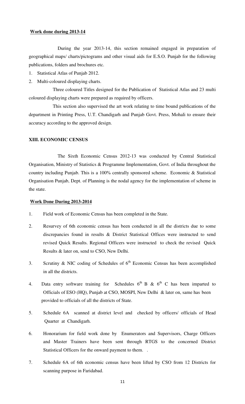#### **Work done during 2013-14**

 During the year 2013-14, this section remained engaged in preparation of geographical maps/ charts/pictograms and other visual aids for E.S.O. Punjab for the following publications, folders and brochures etc.

- 1. Statistical Atlas of Punjab 2012.
- 2. Multi-coloured displaying charts.

 Three coloured Titles designed for the Publication of Statistical Atlas and 23 multi coloured displaying charts were prepared as required by officers.

 This section also supervised the art work relating to time bound publications of the department in Printing Press, U.T. Chandigarh and Punjab Govt. Press, Mohali to ensure their accuracy according to the approved design.

#### **XIII. ECONOMIC CENSUS**

 The Sixth Economic Census 2012-13 was conducted by Central Statistical Organisation, Ministry of Statistics & Programme Implementation, Govt. of India throughout the country including Punjab. This is a 100% centrally sponsored scheme. Economic & Statistical Organisation Punjab, Dept. of Planning is the nodal agency for the implementation of scheme in the state.

- 1. Field work of Economic Census has been completed in the State.
- 2. Resurvey of 6th economic census has been conducted in all the districts due to some discrepancies found in results & District Statistical Offices were instructed to send revised Quick Results. Regional Officers were instructed to check the revised Quick Results & later on, send to CSO, New Delhi.
- 3. Scrutiny & NIC coding of Schedules of  $6<sup>th</sup>$  Economic Census has been accomplished in all the districts.
- 4. Data entry software training for Schedules  $6<sup>th</sup>$  B &  $6<sup>th</sup>$  C has been imparted to Officials of ESO (HQ), Punjab at CSO, MOSPI, New Delhi & later on, same has been provided to officials of all the districts of State.
- 5. Schedule 6A scanned at district level and checked by officers/ officials of Head Quarter at Chandigarh.
- 6. Honorarium for field work done by Enumerators and Supervisors, Charge Officers and Master Trainers have been sent through RTGS to the concerned District Statistical Officers for the onward payment to them. .
- 7. Schedule 6A of 6th economic census have been lifted by CSO from 12 Districts for scanning purpose in Faridabad.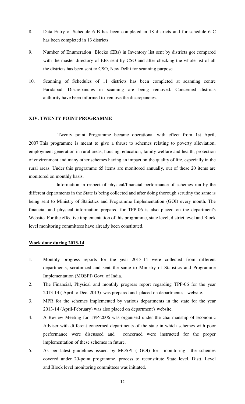- 8. Data Entry of Schedule 6 B has been completed in 18 districts and for schedule 6 C has been completed in 13 districts.
- 9. Number of Enumeration Blocks (EBs) in Inventory list sent by districts got compared with the master directory of EBs sent by CSO and after checking the whole list of all the districts has been sent to CSO, New Delhi for scanning purpose.
- 10. Scanning of Schedules of 11 districts has been completed at scanning centre Faridabad. Discrepancies in scanning are being removed. Concerned districts authority have been informed to remove the discrepancies.

#### **XIV. TWENTY POINT PROGRAMME**

 Twenty point Programme became operational with effect from 1st April, 2007.This programme is meant to give a thrust to schemes relating to poverty alleviation, employment generation in rural areas, housing, education, family welfare and health, protection of environment and many other schemes having an impact on the quality of life, especially in the rural areas. Under this programme 65 items are monitored annually, out of these 20 items are monitored on monthly basis.

 Information in respect of physical/financial performance of schemes run by the different departments in the State is being collected and after doing thorough scrutiny the same is being sent to Ministry of Statistics and Programme Implementation (GOI) every month. The financial and physical information prepared for TPP-06 is also placed on the department's Website. For the effective implementation of this programme, state level, district level and Block level monitoring committees have already been constituted.

- 1. Monthly progress reports for the year 2013-14 were collected from different departments, scrutinized and sent the same to Ministry of Statistics and Programme Implementation (MOSPI) Govt. of India.
- 2. The Financial, Physical and monthly progress report regarding TPP-06 for the year 2013-14 ( April to Dec. 2013) was prepared and placed on department's website.
- 3. MPR for the schemes implemented by various departments in the state for the year 2013-14 (April-February) was also placed on department's website.
- 4. A Review Meeting for TPP-2006 was organised under the chairmanship of Economic Adviser with different concerned departments of the state in which schemes with poor performance were discussed and concerned were instructed for the proper implementation of these schemes in future.
- 5. As per latest guidelines issued by MOSPI ( GOI) for monitoring the schemes covered under 20-point programme, process to reconstitute State level, Distt. Level and Block level monitoring committees was initiated.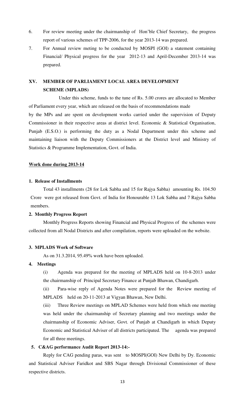- 6. For review meeting under the chairmanship of Hon'ble Chief Secretary, the progress report of various schemes of TPP-2006, for the year 2013-14 was prepared.
- 7. For Annual review meting to be conducted by MOSPI (GOI) a statement containing Financial/ Physical progress for the year 2012-13 and April-December 2013-14 was prepared.

### **XV. MEMBER OF PARLIAMENT LOCAL AREA DEVELOPMENT SCHEME (MPLADS)**

 Under this scheme, funds to the tune of Rs. 5.00 crores are allocated to Member of Parliament every year, which are released on the basis of recommendations made by the MPs and are spent on development works carried under the supervision of Deputy Commissioner in their respective areas at district level. Economic & Statistical Organisation, Punjab (E.S.O.) is performing the duty as a Nodal Department under this scheme and maintaining liaison with the Deputy Commissioners at the District level and Ministry of Statistics & Programme Implementation, Govt. of India.

#### **Work done during 2013-14**

#### **1. Release of Installments**

 Total 43 installments (28 for Lok Sabha and 15 for Rajya Sabha) amounting Rs. 104.50 Crore were got released from Govt. of India for Honourable 13 Lok Sabha and 7 Rajya Sabha members.

#### **2. Monthly Progress Report**

 Monthly Progress Reports showing Financial and Physical Progress of the schemes were collected from all Nodal Districts and after compilation, reports were uploaded on the website.

#### **3. MPLADS Work of Software**

As on 31.3.2014, 95.49% work have been uploaded.

#### **4. Meetings**

 (i) Agenda was prepared for the meeting of MPLADS held on 10-8-2013 under the chairmanship of Principal Secretary Finance at Punjab Bhawan, Chandigarh.

 (ii) Para-wise reply of Agenda Notes were prepared for the Review meeting of MPLADS held on 20-11-2013 at Vigyan Bhawan, New Delhi.

(iii) Three Review meetings on MPLAD Schemes were held from which one meeting was held under the chairmanship of Secretary planning and two meetings under the chairmanship of Economic Adviser, Govt. of Punjab at Chandigarh in which Deputy Economic and Statistical Adviser of all districts participated. The agenda was prepared for all three meetings.

#### **5. C&AG performance Audit Report 2013-14:-**

 Reply for CAG pending paras, was sent to MOSPI(GOI) New Delhi by Dy. Economic and Statistical Adviser Faridkot and SBS Nagar through Divisional Commissioner of these respective districts.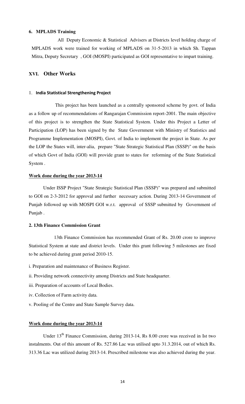#### **6. MPLADS Training**

 All Deputy Economic & Statistical Advisers at Districts level holding charge of MPLADS work were trained for working of MPLADS on 31-5-2013 in which Sh. Tappan Mitra, Deputy Secretary , GOI (MOSPI) participated as GOI representative to impart training.

#### **XVI. Other Works**

#### 1. **India Statistical Strengthening Project**

 This project has been launched as a centrally sponsored scheme by govt. of India as a follow up of recommendations of Rangarajan Commission report-2001. The main objective of this project is to strengthen the State Statistical System. Under this Project a Letter of Participation (LOP) has been signed by the State Government with Ministry of Statistics and Programme Implementation (MOSPI), Govt. of India to implement the project in State. As per the LOP the States will, inter-alia, prepare "State Strategic Statistical Plan (SSSP)" on the basis of which Govt of India (GOI) will provide grant to states for reforming of the State Statistical System .

#### **Work done during the year 2013-14**

 Under ISSP Project "State Strategic Statistical Plan (SSSP)" was prepared and submitted to GOI on 2-3-2012 for approval and further necessary action. During 2013-14 Government of Punjab followed up with MOSPI GOI w.r.t. approval of SSSP submitted by Government of Punjab .

#### **2. 13th Finance Commission Grant**

 13th Finance Commission has recommended Grant of Rs. 20.00 crore to improve Statistical System at state and district levels. Under this grant following 5 milestones are fixed to be achieved during grant period 2010-15.

- i. Preparation and maintenance of Business Register.
- ii. Providing network connectivity among Districts and State headquarter.
- iii. Preparation of accounts of Local Bodies.
- iv. Collection of Farm activity data.
- v. Pooling of the Centre and State Sample Survey data.

#### **Work done during the year 2013-14**

Under 13<sup>th</sup> Finance Commission, during 2013-14, Rs 8.00 crore was received in Ist two instalments. Out of this amount of Rs. 527.86 Lac was utilised upto 31.3.2014, out of which Rs. 313.36 Lac was utilized during 2013-14. Prescribed milestone was also achieved during the year.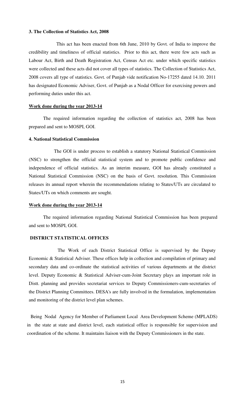#### **3. The Collection of Statistics Act, 2008**

 This act has been enacted from 6th June, 2010 by Govt. of India to improve the credibility and timeliness of official statistics. Prior to this act, there were few acts such as Labour Act, Birth and Death Registration Act, Census Act etc. under which specific statistics were collected and these acts did not cover all types of statistics. The Collection of Statistics Act, 2008 covers all type of statistics. Govt. of Punjab vide notification No-17255 dated 14.10. 2011 has designated Economic Adviser, Govt. of Punjab as a Nodal Officer for exercising powers and performing duties under this act.

#### **Work done during the year 2013-14**

 The required information regarding the collection of statistics act, 2008 has been prepared and sent to MOSPI, GOI.

#### **4. National Statistical Commission**

 The GOI is under process to establish a statutory National Statistical Commission (NSC) to strengthen the official statistical system and to promote public confidence and independence of official statistics. As an interim measure, GOI has already constituted a National Statistical Commission (NSC) on the basis of Govt. resolution. This Commission releases its annual report wherein the recommendations relating to States/UTs are circulated to States/UTs on which comments are sought.

#### **Work done during the year 2013-14**

 The required information regarding National Statistical Commission has been prepared and sent to MOSPI, GOI.

### **DISTRICT STATISTICAL OFFICES**

 The Work of each District Statistical Office is supervised by the Deputy Economic & Statistical Adviser. These offices help in collection and compilation of primary and secondary data and co-ordinate the statistical activities of various departments at the district level. Deputy Economic & Statistical Adviser-cum-Joint Secretary plays an important role in Distt. planning and provides secretariat services to Deputy Commissioners-cum-secretaries of the District Planning Committees. DESA's are fully involved in the formulation, implementation and monitoring of the district level plan schemes.

 Being Nodal Agency for Member of Parliament Local Area Development Scheme (MPLADS) in the state at state and district level, each statistical office is responsible for supervision and coordination of the scheme. It maintains liaison with the Deputy Commissioners in the state.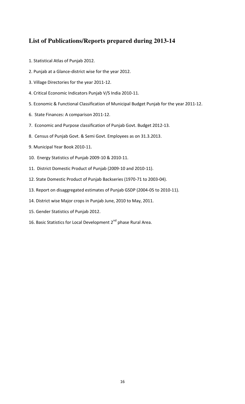### **List of Publications/Reports prepared during 2013-14**

- 1. Statistical Atlas of Punjab 2012.
- 2. Punjab at a Glance-district wise for the year 2012.
- 3. Village Directories for the year 2011-12.
- 4. Critical Economic Indicators Punjab V/S India 2010-11.
- 5. Economic & Functional Classification of Municipal Budget Punjab for the year 2011-12.
- 6. State Finances: A comparison 2011-12.
- 7. Economic and Purpose classification of Punjab Govt. Budget 2012-13.
- 8. Census of Punjab Govt. & Semi Govt. Employees as on 31.3.2013.
- 9. Municipal Year Book 2010-11.
- 10. Energy Statistics of Punjab 2009-10 & 2010-11.
- 11. District Domestic Product of Punjab (2009-10 and 2010-11).
- 12. State Domestic Product of Punjab Backseries (1970-71 to 2003-04).
- 13. Report on disaggregated estimates of Punjab GSDP (2004-05 to 2010-11).
- 14. District wise Major crops in Punjab June, 2010 to May, 2011.
- 15. Gender Statistics of Punjab 2012.
- 16. Basic Statistics for Local Development 2<sup>nd</sup> phase Rural Area.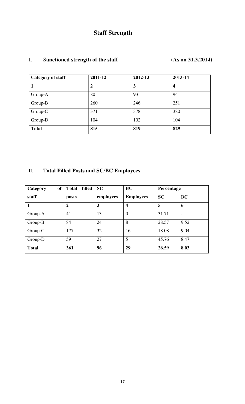## **Staff Strength**

### I. S**anctioned strength of the staff (As on 31.3.2014)**

| Category of staff | 2011-12 | 2012-13 | 2013-14          |
|-------------------|---------|---------|------------------|
|                   | 2       | 3       | $\boldsymbol{4}$ |
| Group-A           | 80      | 93      | 94               |
| Group-B           | 260     | 246     | 251              |
| Group-C           | 371     | 378     | 380              |
| Group-D           | 104     | 102     | 104              |
| <b>Total</b>      | 815     | 819     | 829              |

### II. T**otal Filled Posts and SC**/**BC Employees**

| of<br>Category | filled<br><b>Total</b> | <b>SC</b> | <b>BC</b>               | Percentage |           |
|----------------|------------------------|-----------|-------------------------|------------|-----------|
| staff          | posts                  | employees | <b>Employees</b>        | <b>SC</b>  | <b>BC</b> |
|                | $\mathbf{2}$           | 3         | $\overline{\mathbf{4}}$ | 5          | 6         |
| Group-A        | 41                     | 13        | $\overline{0}$          | 31.71      |           |
| Group-B        | 84                     | 24        | 8                       | 28.57      | 9.52      |
| Group-C        | 177                    | 32        | 16                      | 18.08      | 9.04      |
| Group-D        | 59                     | 27        | 5                       | 45.76      | 8.47      |
| <b>Total</b>   | 361                    | 96        | 29                      | 26.59      | 8.03      |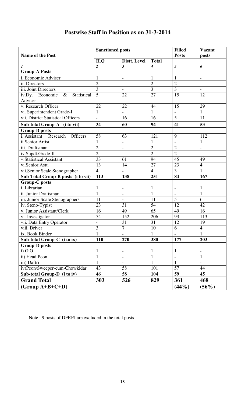|                                        | <b>Sanctioned posts</b> |                          | <b>Filled</b>  | <b>Vacant</b>  |                          |
|----------------------------------------|-------------------------|--------------------------|----------------|----------------|--------------------------|
| <b>Name of the Post</b>                |                         |                          | <b>Posts</b>   | posts          |                          |
|                                        | H.Q                     | Distt. Level             | <b>Total</b>   |                |                          |
| 1                                      | $\boldsymbol{2}$        | 3                        | $\overline{4}$ | 5              | 6                        |
| <b>Group-A Posts</b>                   |                         |                          |                |                |                          |
| i. Economic Adviser                    | $\mathbf{1}$            | $\overline{a}$           | $\mathbf{1}$   | $\mathbf{1}$   | $\overline{\phantom{a}}$ |
| ii. Directors                          | $\overline{2}$          | $\overline{\phantom{a}}$ | $\overline{2}$ | $\overline{2}$ | $\overline{\phantom{a}}$ |
| iii. Joint Directors                   | $\overline{3}$          |                          | 3              | 3              |                          |
| Statistical<br>iv.Dy. Economic<br>$\&$ | $\overline{5}$          | 22                       | 27             | 15             | 12                       |
| Adviser                                |                         |                          |                |                |                          |
| v. Research Officer                    | 22                      | 22                       | 44             | 15             | 29                       |
| vi. Superintendent Grade-I             | $\mathbf{1}$            |                          | $\mathbf{1}$   |                | $\mathbf{1}$             |
| vii. District Statistical Officers     | $\overline{a}$          | 16                       | 16             | 5              | 11                       |
| Sub-total Group-A (i to vii)           | 34                      | 60                       | 94             | 41             | 53                       |
| <b>Group-B posts</b>                   |                         |                          |                |                |                          |
| i. Assistant<br>Research Officers      | 58                      | 63                       | 121            | 9              | 112                      |
| ii Senior Artist                       | $\mathbf{1}$            |                          | $\mathbf{1}$   |                | $\mathbf{1}$             |
| iii. Draftsman                         | $\overline{2}$          | $\overline{a}$           | $\overline{2}$ | $\overline{2}$ | $\overline{a}$           |
| iv.Supdt.Grade-II                      | $\overline{2}$          | $\overline{\phantom{0}}$ | $\overline{2}$ | $\overline{2}$ | $\overline{\phantom{0}}$ |
| v.Statistical Assistant                | 33                      | 61                       | 94             | 45             | 49                       |
| vi.Senior.Astt.                        | 13                      | 14                       | 27             | 23             | $\overline{4}$           |
| vii.Senior Scale Stenographer          | $\overline{4}$          |                          | $\overline{4}$ | $\overline{3}$ | $\mathbf{1}$             |
| Sub Total Group-B posts (i to vii)     | 113                     | 138                      | 251            | 84             | 167                      |
| <b>Group-C posts</b>                   |                         |                          |                |                |                          |
| i. Librarian                           | $\mathbf{1}$            | $\frac{1}{2}$            | $\mathbf{1}$   | $\overline{a}$ | $\mathbf{1}$             |
| ii. Junior Draftsman                   | $\mathbf{1}$            | $\overline{\phantom{0}}$ | $\mathbf{1}$   | $\overline{a}$ | $\mathbf{1}$             |
| iii. Junior Scale Stenographers        | 11                      | $\overline{\phantom{0}}$ | 11             | 5              | 6                        |
| iv. Steno-Typist                       | 23                      | 31                       | 54             | 12             | 42                       |
| v. Junior Assistant/Clerk              | 16                      | 49                       | 65             | 49             | 16                       |
| vi. Investigator                       | 54                      | 152                      | 206            | 93             | 113                      |
| vii. Data Entry Operator               | $\overline{a}$          | 31                       | 31             | 12             | 19                       |
| viii. Driver                           | 3                       | 7                        | 10             | 6              | $\overline{4}$           |
| ix. Book Binder                        | $\mathbf{1}$            |                          | 1              |                |                          |
| Sub-total Group-C (i to ix)            | 110                     | 270                      | 380            | 177            | 203                      |
| <b>Group-D</b> posts                   |                         |                          |                |                |                          |
| $i)$ G.O.                              | $\mathbf{1}$            | $\overline{\phantom{a}}$ | $\mathbf{1}$   | $\mathbf{1}$   | $\overline{\phantom{a}}$ |
| ii) Head Peon                          | $\mathbf{1}$            | $\overline{\phantom{a}}$ | $\mathbf{1}$   | $\overline{a}$ | $\mathbf{1}$             |
| iii) Daftri                            | $\mathbf{1}$            |                          | $\mathbf{1}$   | $\mathbf{1}$   |                          |
| iv)Peon/Sweeper-cum-Chowkidar          | 43                      | 58                       | 101            | 57             | 44                       |
| Sub-total Group-D (i to iv)            | 46                      | 58                       | 104            | 59             | 45                       |
| <b>Grand Total</b>                     | 303                     | 526                      | 829            | 361            | 468                      |
| $(Group A+B+C+D)$                      |                         |                          |                | (44%)          | $(56\%)$                 |

### **Postwise Staff in Position as on 31-3-2014**

Note : 9 posts of DFREI are excluded in the total posts